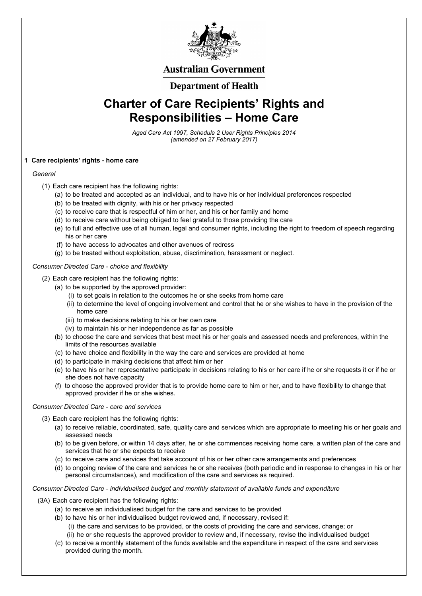

## **Australian Government**

## **Department of Health**

# **Charter of Care Recipients' Rights and Responsibilities – Home Care**

*Aged Care Act 1997, Schedule 2 User Rights Principles 2014 (amended on 27 February 2017)* 

### **1 Care recipients' rights - home care**

#### *General*

- (1) Each care recipient has the following rights:
	- (a) to be treated and accepted as an individual, and to have his or her individual preferences respected
	- (b) to be treated with dignity, with his or her privacy respected
	- (c) to receive care that is respectful of him or her, and his or her family and home
	- (d) to receive care without being obliged to feel grateful to those providing the care
	- (e) to full and effective use of all human, legal and consumer rights, including the right to freedom of speech regarding his or her care
	- (f) to have access to advocates and other avenues of redress
	- (g) to be treated without exploitation, abuse, discrimination, harassment or neglect.

#### *Consumer Directed Care - choice and flexibility*

- (2) Each care recipient has the following rights:
	- (a) to be supported by the approved provider:
		- (i) to set goals in relation to the outcomes he or she seeks from home care
		- (ii) to determine the level of ongoing involvement and control that he or she wishes to have in the provision of the home care
		- (iii) to make decisions relating to his or her own care
		- (iv) to maintain his or her independence as far as possible
	- (b) to choose the care and services that best meet his or her goals and assessed needs and preferences, within the limits of the resources available
	- (c) to have choice and flexibility in the way the care and services are provided at home
	- (d) to participate in making decisions that affect him or her
	- (e) to have his or her representative participate in decisions relating to his or her care if he or she requests it or if he or she does not have capacity
	- (f) to choose the approved provider that is to provide home care to him or her, and to have flexibility to change that approved provider if he or she wishes.

#### *Consumer Directed Care - care and services*

- (3) Each care recipient has the following rights:
	- (a) to receive reliable, coordinated, safe, quality care and services which are appropriate to meeting his or her goals and assessed needs
	- (b) to be given before, or within 14 days after, he or she commences receiving home care, a written plan of the care and
		- services that he or she expects to receive
	- (c) to receive care and services that take account of his or her other care arrangements and preferences
	- (d) to ongoing review of the care and services he or she receives (both periodic and in response to changes in his or her personal circumstances), and modification of the care and services as required.

*Consumer Directed Care - individualised budget and monthly statement of available funds and expenditure* 

- (3A) Each care recipient has the following rights:
	- (a) to receive an individualised budget for the care and services to be provided
	- (b) to have his or her individualised budget reviewed and, if necessary, revised if:
		- (i) the care and services to be provided, or the costs of providing the care and services, change; or
		- (ii) he or she requests the approved provider to review and, if necessary, revise the individualised budget
	- (c) to receive a monthly statement of the funds available and the expenditure in respect of the care and services provided during the month.